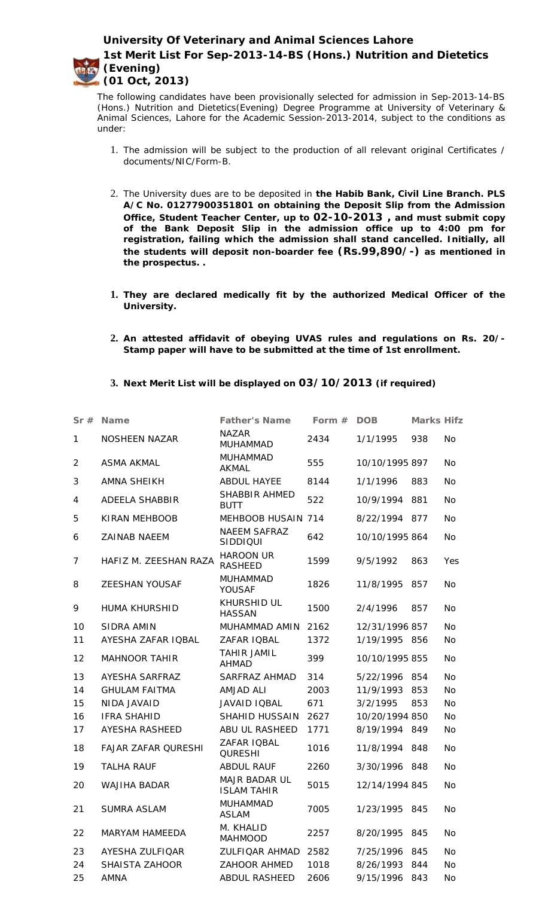**University Of Veterinary and Animal Sciences Lahore**



**1st Merit List For Sep-2013-14-BS (Hons.) Nutrition and Dietetics (Evening) (01 Oct, 2013)**

The following candidates have been provisionally selected for admission in Sep-2013-14-BS (Hons.) Nutrition and Dietetics(Evening) Degree Programme at University of Veterinary & Animal Sciences, Lahore for the Academic Session-2013-2014, subject to the conditions as under:

- 1. The admission will be subject to the production of all relevant original Certificates / documents/NIC/Form-B.
- 2. The University dues are to be deposited in **the Habib Bank, Civil Line Branch. PLS A/C No. 01277900351801 on obtaining the Deposit Slip from the Admission Office, Student Teacher Center, up to 02-10-2013 , and must submit copy of the Bank Deposit Slip in the admission office up to 4:00 pm for registration, failing which the admission shall stand cancelled. Initially, all the students will deposit non-boarder fee (Rs.99,890/-) as mentioned in the prospectus. .**
- **1. They are declared medically fit by the authorized Medical Officer of the University.**
- **2. An attested affidavit of obeying UVAS rules and regulations on Rs. 20/- Stamp paper will have to be submitted at the time of 1st enrollment.**
- **3. Next Merit List will be displayed on 03/10/2013 (if required)**

| Sr#            | Name                       | Father's Name                       | Form $#$ | <b>DOB</b>     | Marks Hifz |           |
|----------------|----------------------------|-------------------------------------|----------|----------------|------------|-----------|
| 1              | NOSHEEN NAZAR              | <b>NAZAR</b><br><b>MUHAMMAD</b>     | 2434     | 1/1/1995       | 938        | <b>No</b> |
| $\overline{2}$ | <b>ASMA AKMAL</b>          | <b>MUHAMMAD</b><br>AKMAL            | 555      | 10/10/1995 897 |            | <b>No</b> |
| 3              | <b>AMNA SHEIKH</b>         | ABDUL HAYEE                         | 8144     | 1/1/1996       | 883        | <b>No</b> |
| 4              | ADEELA SHABBIR             | SHABBIR AHMED<br><b>BUTT</b>        | 522      | 10/9/1994      | 881        | <b>No</b> |
| 5              | KIRAN MEHBOOB              | MEHBOOB HUSAIN 714                  |          | 8/22/1994 877  |            | <b>No</b> |
| 6              | ZAINAB NAEEM               | <b>NAEEM SAFRAZ</b><br>SIDDIQUI     | 642      | 10/10/1995 864 |            | <b>No</b> |
| 7              | HAFIZ M. ZEESHAN RAZA      | <b>HAROON UR</b><br><b>RASHEED</b>  | 1599     | 9/5/1992       | 863        | Yes       |
| 8              | ZEESHAN YOUSAF             | <b>MUHAMMAD</b><br><b>YOUSAF</b>    | 1826     | 11/8/1995      | 857        | <b>No</b> |
| 9              | <b>HUMA KHURSHID</b>       | <b>KHURSHID UL</b><br><b>HASSAN</b> | 1500     | 2/4/1996       | 857        | <b>No</b> |
| 10             | SIDRA AMIN                 | MUHAMMAD AMIN                       | 2162     | 12/31/1996 857 |            | <b>No</b> |
| 11             | AYESHA ZAFAR IQBAL         | ZAFAR IQBAL                         | 1372     | 1/19/1995 856  |            | <b>No</b> |
| 12             | <b>MAHNOOR TAHIR</b>       | <b>TAHIR JAMIL</b><br><b>AHMAD</b>  | 399      | 10/10/1995 855 |            | <b>No</b> |
| 13             | AYESHA SARFRAZ             | SARFRAZ AHMAD                       | 314      | 5/22/1996 854  |            | <b>No</b> |
| 14             | <b>GHULAM FAITMA</b>       | AMJAD ALI                           | 2003     | 11/9/1993      | 853        | <b>No</b> |
| 15             | NIDA JAVAID                | JAVAID IQBAL                        | 671      | 3/2/1995       | 853        | <b>No</b> |
| 16             | <b>IFRA SHAHID</b>         | SHAHID HUSSAIN                      | 2627     | 10/20/1994 850 |            | <b>No</b> |
| 17             | AYESHA RASHEED             | ABU UL RASHEED                      | 1771     | 8/19/1994 849  |            | No.       |
| 18             | <b>FAJAR ZAFAR QURESHI</b> | ZAFAR IQBAL<br><b>QURESHI</b>       | 1016     | 11/8/1994 848  |            | <b>No</b> |
| 19             | <b>TALHA RAUF</b>          | <b>ABDUL RAUF</b>                   | 2260     | 3/30/1996 848  |            | No        |
| 20             | WAJIHA BADAR               | MAJR BADAR UL<br><b>ISLAM TAHIR</b> | 5015     | 12/14/1994 845 |            | <b>No</b> |
| 21             | <b>SUMRA ASLAM</b>         | <b>MUHAMMAD</b><br>ASLAM            | 7005     | 1/23/1995 845  |            | No        |
| 22             | <b>MARYAM HAMEEDA</b>      | M. KHALID<br><b>MAHMOOD</b>         | 2257     | 8/20/1995      | 845        | <b>No</b> |
| 23             | AYESHA ZULFIQAR            | ZULFIQAR AHMAD                      | 2582     | 7/25/1996      | 845        | <b>No</b> |
| 24             | SHAISTA ZAHOOR             | <b>ZAHOOR AHMED</b>                 | 1018     | 8/26/1993      | 844        | No        |
| 25             | AMNA                       | ABDUL RASHEED                       | 2606     | 9/15/1996      | 843        | No        |